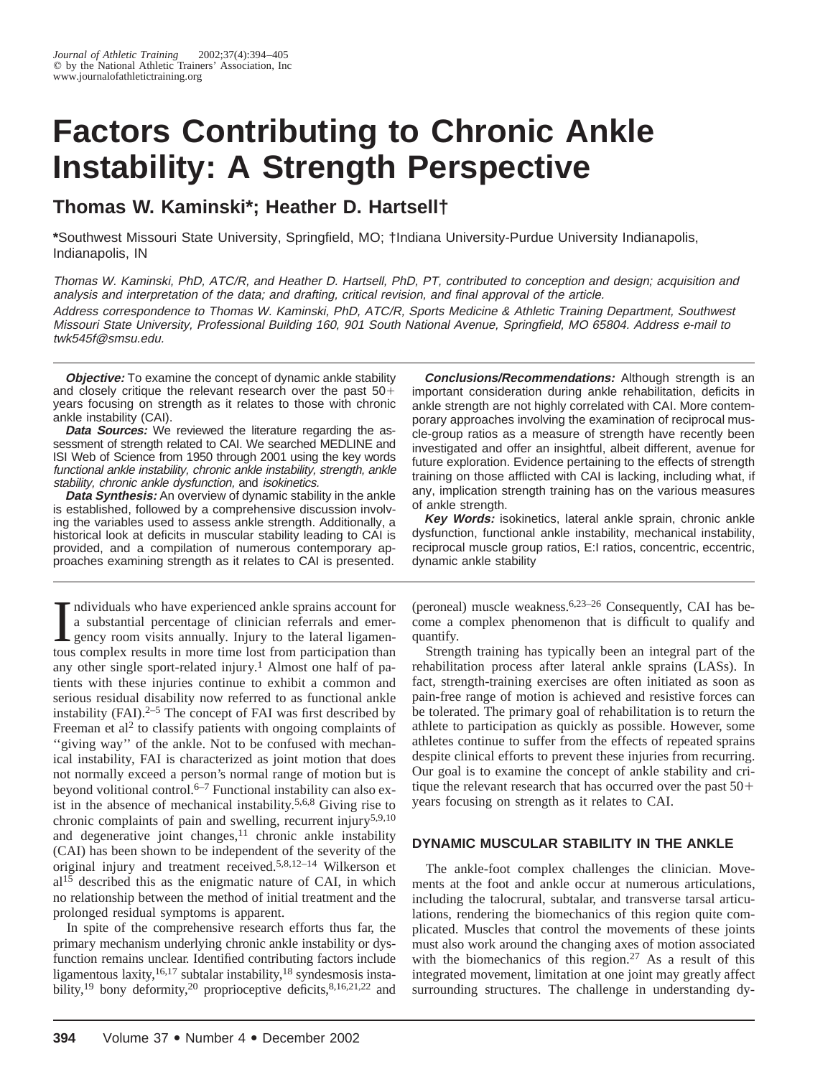# **Factors Contributing to Chronic Ankle Instability: A Strength Perspective**

# **Thomas W. Kaminski\*; Heather D. Hartsell†**

**\***Southwest Missouri State University, Springfield, MO; †Indiana University-Purdue University Indianapolis, Indianapolis, IN

Thomas W. Kaminski, PhD, ATC/R, and Heather D. Hartsell, PhD, PT, contributed to conception and design; acquisition and analysis and interpretation of the data; and drafting, critical revision, and final approval of the article. Address correspondence to Thomas W. Kaminski, PhD, ATC/R, Sports Medicine & Athletic Training Department, Southwest Missouri State University, Professional Building 160, 901 South National Avenue, Springfield, MO 65804. Address e-mail to twk545f@smsu.edu.

**Objective:** To examine the concept of dynamic ankle stability and closely critique the relevant research over the past  $50+$ years focusing on strength as it relates to those with chronic ankle instability (CAI).

*Data Sources:* We reviewed the literature regarding the assessment of strength related to CAI. We searched MEDLINE and ISI Web of Science from 1950 through 2001 using the key words functional ankle instability, chronic ankle instability, strength, ankle stability, chronic ankle dysfunction, and isokinetics.

*Data Synthesis:* An overview of dynamic stability in the ankle is established, followed by a comprehensive discussion involving the variables used to assess ankle strength. Additionally, a historical look at deficits in muscular stability leading to CAI is provided, and a compilation of numerous contemporary approaches examining strength as it relates to CAI is presented.

Individuals who have experienced ankle sprains account for<br>a substantial percentage of clinician referrals and emer-<br>gency room visits annually. Injury to the lateral ligamen-<br>tous complex results in more time lost from pa ndividuals who have experienced ankle sprains account for a substantial percentage of clinician referrals and emergency room visits annually. Injury to the lateral ligamenany other single sport-related injury.<sup>1</sup> Almost one half of patients with these injuries continue to exhibit a common and serious residual disability now referred to as functional ankle instability (FAI). $2-5$  The concept of FAI was first described by Freeman et al<sup>2</sup> to classify patients with ongoing complaints of ''giving way'' of the ankle. Not to be confused with mechanical instability, FAI is characterized as joint motion that does not normally exceed a person's normal range of motion but is beyond volitional control.6–7 Functional instability can also exist in the absence of mechanical instability.5,6,8 Giving rise to chronic complaints of pain and swelling, recurrent injury<sup>5,9,10</sup> and degenerative joint changes,  $11$  chronic ankle instability (CAI) has been shown to be independent of the severity of the original injury and treatment received.5,8,12–14 Wilkerson et al15 described this as the enigmatic nature of CAI, in which no relationship between the method of initial treatment and the prolonged residual symptoms is apparent.

In spite of the comprehensive research efforts thus far, the primary mechanism underlying chronic ankle instability or dysfunction remains unclear. Identified contributing factors include ligamentous laxity,  $16,17$  subtalar instability,  $18$  syndesmosis instability,<sup>19</sup> bony deformity,<sup>20</sup> proprioceptive deficits, $8,16,21,22$  and

**Conclusions/Recommendations:** Although strength is an important consideration during ankle rehabilitation, deficits in ankle strength are not highly correlated with CAI. More contemporary approaches involving the examination of reciprocal muscle-group ratios as a measure of strength have recently been investigated and offer an insightful, albeit different, avenue for future exploration. Evidence pertaining to the effects of strength training on those afflicted with CAI is lacking, including what, if any, implication strength training has on the various measures of ankle strength.

**Key Words:** isokinetics, lateral ankle sprain, chronic ankle dysfunction, functional ankle instability, mechanical instability, reciprocal muscle group ratios, E:I ratios, concentric, eccentric, dynamic ankle stability

(peroneal) muscle weakness.6,23–26 Consequently, CAI has become a complex phenomenon that is difficult to qualify and quantify.

Strength training has typically been an integral part of the rehabilitation process after lateral ankle sprains (LASs). In fact, strength-training exercises are often initiated as soon as pain-free range of motion is achieved and resistive forces can be tolerated. The primary goal of rehabilitation is to return the athlete to participation as quickly as possible. However, some athletes continue to suffer from the effects of repeated sprains despite clinical efforts to prevent these injuries from recurring. Our goal is to examine the concept of ankle stability and critique the relevant research that has occurred over the past  $50+$ years focusing on strength as it relates to CAI.

# **DYNAMIC MUSCULAR STABILITY IN THE ANKLE**

The ankle-foot complex challenges the clinician. Movements at the foot and ankle occur at numerous articulations, including the talocrural, subtalar, and transverse tarsal articulations, rendering the biomechanics of this region quite complicated. Muscles that control the movements of these joints must also work around the changing axes of motion associated with the biomechanics of this region.<sup>27</sup> As a result of this integrated movement, limitation at one joint may greatly affect surrounding structures. The challenge in understanding dy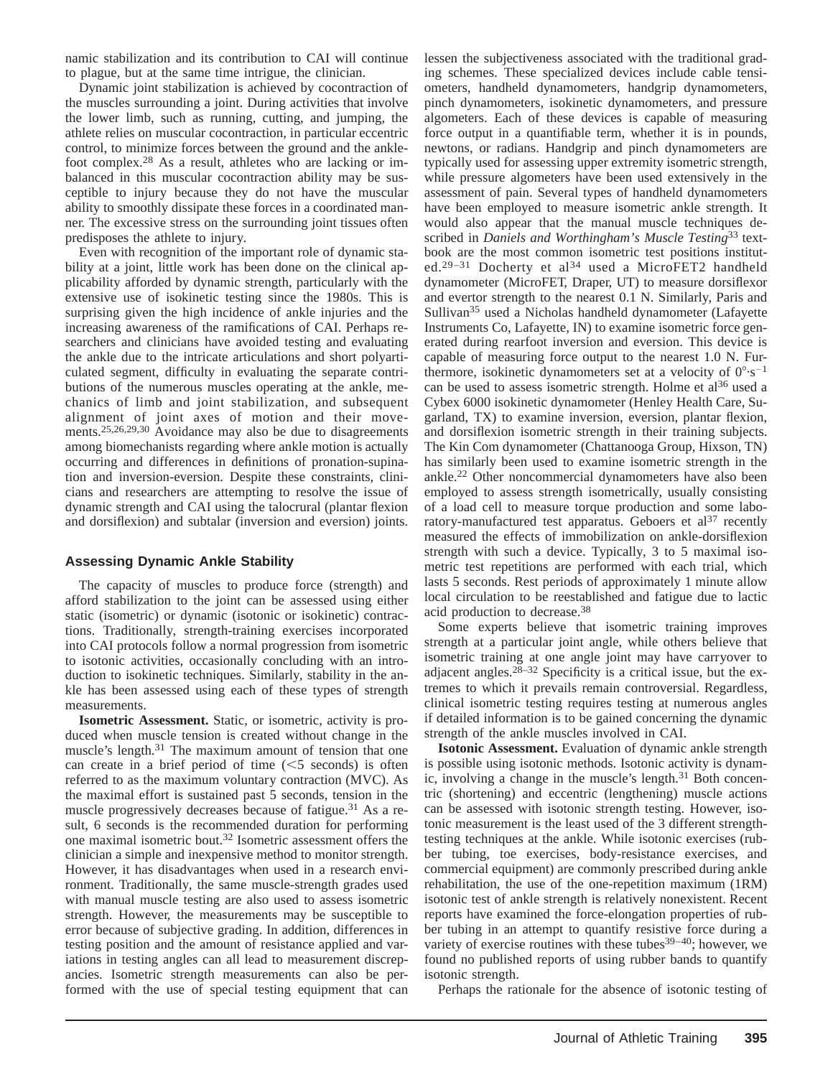namic stabilization and its contribution to CAI will continue to plague, but at the same time intrigue, the clinician.

Dynamic joint stabilization is achieved by cocontraction of the muscles surrounding a joint. During activities that involve the lower limb, such as running, cutting, and jumping, the athlete relies on muscular cocontraction, in particular eccentric control, to minimize forces between the ground and the anklefoot complex.28 As a result, athletes who are lacking or imbalanced in this muscular cocontraction ability may be susceptible to injury because they do not have the muscular ability to smoothly dissipate these forces in a coordinated manner. The excessive stress on the surrounding joint tissues often predisposes the athlete to injury.

Even with recognition of the important role of dynamic stability at a joint, little work has been done on the clinical applicability afforded by dynamic strength, particularly with the extensive use of isokinetic testing since the 1980s. This is surprising given the high incidence of ankle injuries and the increasing awareness of the ramifications of CAI. Perhaps researchers and clinicians have avoided testing and evaluating the ankle due to the intricate articulations and short polyarticulated segment, difficulty in evaluating the separate contributions of the numerous muscles operating at the ankle, mechanics of limb and joint stabilization, and subsequent alignment of joint axes of motion and their movements.25,26,29,30 Avoidance may also be due to disagreements among biomechanists regarding where ankle motion is actually occurring and differences in definitions of pronation-supination and inversion-eversion. Despite these constraints, clinicians and researchers are attempting to resolve the issue of dynamic strength and CAI using the talocrural (plantar flexion and dorsiflexion) and subtalar (inversion and eversion) joints.

#### **Assessing Dynamic Ankle Stability**

The capacity of muscles to produce force (strength) and afford stabilization to the joint can be assessed using either static (isometric) or dynamic (isotonic or isokinetic) contractions. Traditionally, strength-training exercises incorporated into CAI protocols follow a normal progression from isometric to isotonic activities, occasionally concluding with an introduction to isokinetic techniques. Similarly, stability in the ankle has been assessed using each of these types of strength measurements.

**Isometric Assessment.** Static, or isometric, activity is produced when muscle tension is created without change in the muscle's length.<sup>31</sup> The maximum amount of tension that one can create in a brief period of time  $(<5$  seconds) is often referred to as the maximum voluntary contraction (MVC). As the maximal effort is sustained past 5 seconds, tension in the muscle progressively decreases because of fatigue.31 As a result, 6 seconds is the recommended duration for performing one maximal isometric bout.32 Isometric assessment offers the clinician a simple and inexpensive method to monitor strength. However, it has disadvantages when used in a research environment. Traditionally, the same muscle-strength grades used with manual muscle testing are also used to assess isometric strength. However, the measurements may be susceptible to error because of subjective grading. In addition, differences in testing position and the amount of resistance applied and variations in testing angles can all lead to measurement discrepancies. Isometric strength measurements can also be performed with the use of special testing equipment that can

lessen the subjectiveness associated with the traditional grading schemes. These specialized devices include cable tensiometers, handheld dynamometers, handgrip dynamometers, pinch dynamometers, isokinetic dynamometers, and pressure algometers. Each of these devices is capable of measuring force output in a quantifiable term, whether it is in pounds, newtons, or radians. Handgrip and pinch dynamometers are typically used for assessing upper extremity isometric strength, while pressure algometers have been used extensively in the assessment of pain. Several types of handheld dynamometers have been employed to measure isometric ankle strength. It would also appear that the manual muscle techniques described in *Daniels and Worthingham's Muscle Testing*<sup>33</sup> textbook are the most common isometric test positions instituted.<sup>29-31</sup> Docherty et al<sup>34</sup> used a MicroFET2 handheld dynamometer (MicroFET, Draper, UT) to measure dorsiflexor and evertor strength to the nearest 0.1 N. Similarly, Paris and Sullivan<sup>35</sup> used a Nicholas handheld dynamometer (Lafayette Instruments Co, Lafayette, IN) to examine isometric force generated during rearfoot inversion and eversion. This device is capable of measuring force output to the nearest 1.0 N. Furthermore, isokinetic dynamometers set at a velocity of  $0^{\circ} \cdot s^{-1}$ can be used to assess isometric strength. Holme et  $a^{36}$  used a Cybex 6000 isokinetic dynamometer (Henley Health Care, Sugarland, TX) to examine inversion, eversion, plantar flexion, and dorsiflexion isometric strength in their training subjects. The Kin Com dynamometer (Chattanooga Group, Hixson, TN) has similarly been used to examine isometric strength in the ankle.22 Other noncommercial dynamometers have also been employed to assess strength isometrically, usually consisting of a load cell to measure torque production and some laboratory-manufactured test apparatus. Geboers et  $al<sup>37</sup>$  recently measured the effects of immobilization on ankle-dorsiflexion strength with such a device. Typically, 3 to 5 maximal isometric test repetitions are performed with each trial, which lasts 5 seconds. Rest periods of approximately 1 minute allow local circulation to be reestablished and fatigue due to lactic acid production to decrease.38

Some experts believe that isometric training improves strength at a particular joint angle, while others believe that isometric training at one angle joint may have carryover to adjacent angles. $28-32$  Specificity is a critical issue, but the extremes to which it prevails remain controversial. Regardless, clinical isometric testing requires testing at numerous angles if detailed information is to be gained concerning the dynamic strength of the ankle muscles involved in CAI.

**Isotonic Assessment.** Evaluation of dynamic ankle strength is possible using isotonic methods. Isotonic activity is dynamic, involving a change in the muscle's length.<sup>31</sup> Both concentric (shortening) and eccentric (lengthening) muscle actions can be assessed with isotonic strength testing. However, isotonic measurement is the least used of the 3 different strengthtesting techniques at the ankle. While isotonic exercises (rubber tubing, toe exercises, body-resistance exercises, and commercial equipment) are commonly prescribed during ankle rehabilitation, the use of the one-repetition maximum (1RM) isotonic test of ankle strength is relatively nonexistent. Recent reports have examined the force-elongation properties of rubber tubing in an attempt to quantify resistive force during a variety of exercise routines with these tubes<sup>39-40</sup>; however, we found no published reports of using rubber bands to quantify isotonic strength.

Perhaps the rationale for the absence of isotonic testing of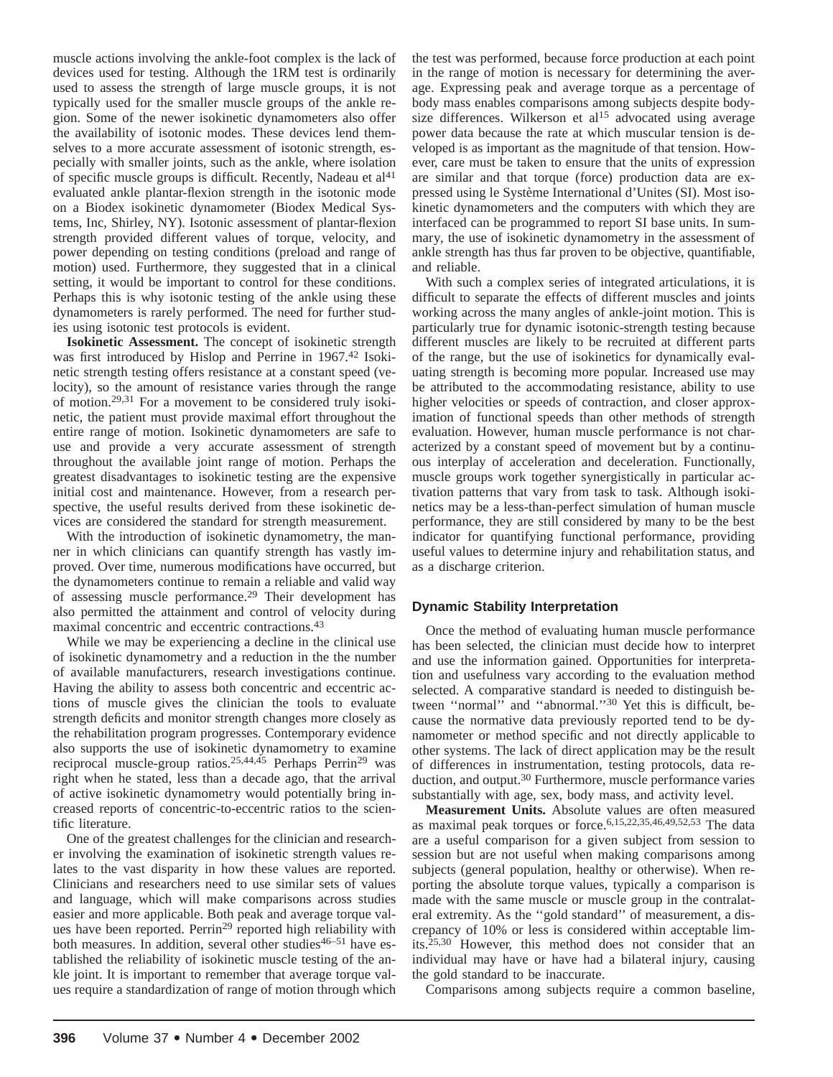muscle actions involving the ankle-foot complex is the lack of devices used for testing. Although the 1RM test is ordinarily used to assess the strength of large muscle groups, it is not typically used for the smaller muscle groups of the ankle region. Some of the newer isokinetic dynamometers also offer the availability of isotonic modes. These devices lend themselves to a more accurate assessment of isotonic strength, especially with smaller joints, such as the ankle, where isolation of specific muscle groups is difficult. Recently, Nadeau et  $al<sup>41</sup>$ evaluated ankle plantar-flexion strength in the isotonic mode on a Biodex isokinetic dynamometer (Biodex Medical Systems, Inc, Shirley, NY). Isotonic assessment of plantar-flexion strength provided different values of torque, velocity, and power depending on testing conditions (preload and range of motion) used. Furthermore, they suggested that in a clinical setting, it would be important to control for these conditions. Perhaps this is why isotonic testing of the ankle using these dynamometers is rarely performed. The need for further studies using isotonic test protocols is evident.

**Isokinetic Assessment.** The concept of isokinetic strength was first introduced by Hislop and Perrine in 1967.<sup>42</sup> Isokinetic strength testing offers resistance at a constant speed (velocity), so the amount of resistance varies through the range of motion.29,31 For a movement to be considered truly isokinetic, the patient must provide maximal effort throughout the entire range of motion. Isokinetic dynamometers are safe to use and provide a very accurate assessment of strength throughout the available joint range of motion. Perhaps the greatest disadvantages to isokinetic testing are the expensive initial cost and maintenance. However, from a research perspective, the useful results derived from these isokinetic devices are considered the standard for strength measurement.

With the introduction of isokinetic dynamometry, the manner in which clinicians can quantify strength has vastly improved. Over time, numerous modifications have occurred, but the dynamometers continue to remain a reliable and valid way of assessing muscle performance.<sup>29</sup> Their development has also permitted the attainment and control of velocity during maximal concentric and eccentric contractions.43

While we may be experiencing a decline in the clinical use of isokinetic dynamometry and a reduction in the the number of available manufacturers, research investigations continue. Having the ability to assess both concentric and eccentric actions of muscle gives the clinician the tools to evaluate strength deficits and monitor strength changes more closely as the rehabilitation program progresses. Contemporary evidence also supports the use of isokinetic dynamometry to examine reciprocal muscle-group ratios.<sup>25,44,45</sup> Perhaps Perrin<sup>29</sup> was right when he stated, less than a decade ago, that the arrival of active isokinetic dynamometry would potentially bring increased reports of concentric-to-eccentric ratios to the scientific literature.

One of the greatest challenges for the clinician and researcher involving the examination of isokinetic strength values relates to the vast disparity in how these values are reported. Clinicians and researchers need to use similar sets of values and language, which will make comparisons across studies easier and more applicable. Both peak and average torque values have been reported. Perrin<sup>29</sup> reported high reliability with both measures. In addition, several other studies  $46-51$  have established the reliability of isokinetic muscle testing of the ankle joint. It is important to remember that average torque values require a standardization of range of motion through which

the test was performed, because force production at each point in the range of motion is necessary for determining the average. Expressing peak and average torque as a percentage of body mass enables comparisons among subjects despite bodysize differences. Wilkerson et al<sup>15</sup> advocated using average power data because the rate at which muscular tension is developed is as important as the magnitude of that tension. However, care must be taken to ensure that the units of expression are similar and that torque (force) production data are expressed using le Système International d'Unites (SI). Most isokinetic dynamometers and the computers with which they are interfaced can be programmed to report SI base units. In summary, the use of isokinetic dynamometry in the assessment of ankle strength has thus far proven to be objective, quantifiable, and reliable.

With such a complex series of integrated articulations, it is difficult to separate the effects of different muscles and joints working across the many angles of ankle-joint motion. This is particularly true for dynamic isotonic-strength testing because different muscles are likely to be recruited at different parts of the range, but the use of isokinetics for dynamically evaluating strength is becoming more popular. Increased use may be attributed to the accommodating resistance, ability to use higher velocities or speeds of contraction, and closer approximation of functional speeds than other methods of strength evaluation. However, human muscle performance is not characterized by a constant speed of movement but by a continuous interplay of acceleration and deceleration. Functionally, muscle groups work together synergistically in particular activation patterns that vary from task to task. Although isokinetics may be a less-than-perfect simulation of human muscle performance, they are still considered by many to be the best indicator for quantifying functional performance, providing useful values to determine injury and rehabilitation status, and as a discharge criterion.

# **Dynamic Stability Interpretation**

Once the method of evaluating human muscle performance has been selected, the clinician must decide how to interpret and use the information gained. Opportunities for interpretation and usefulness vary according to the evaluation method selected. A comparative standard is needed to distinguish between "normal" and "abnormal."<sup>30</sup> Yet this is difficult, because the normative data previously reported tend to be dynamometer or method specific and not directly applicable to other systems. The lack of direct application may be the result of differences in instrumentation, testing protocols, data reduction, and output.<sup>30</sup> Furthermore, muscle performance varies substantially with age, sex, body mass, and activity level.

**Measurement Units.** Absolute values are often measured as maximal peak torques or force.6,15,22,35,46,49,52,53 The data are a useful comparison for a given subject from session to session but are not useful when making comparisons among subjects (general population, healthy or otherwise). When reporting the absolute torque values, typically a comparison is made with the same muscle or muscle group in the contralateral extremity. As the ''gold standard'' of measurement, a discrepancy of 10% or less is considered within acceptable limits.25,30 However, this method does not consider that an individual may have or have had a bilateral injury, causing the gold standard to be inaccurate.

Comparisons among subjects require a common baseline,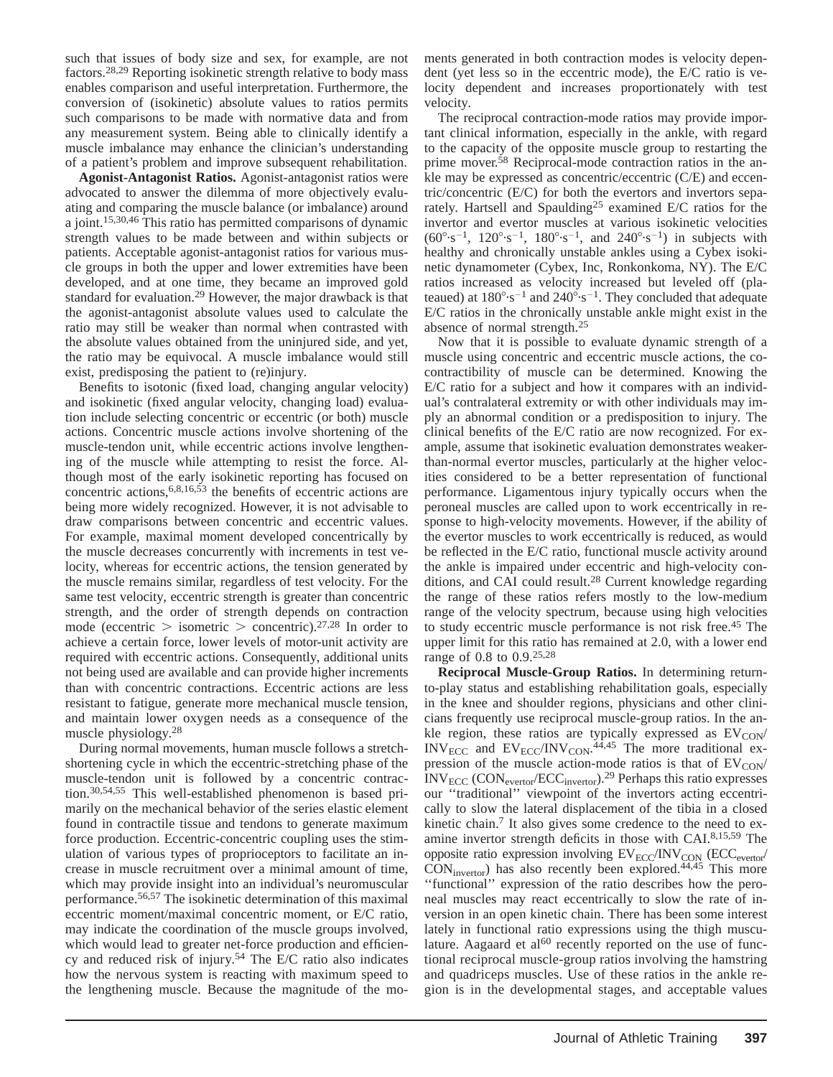such that issues of body size and sex, for example, are not factors.28,29 Reporting isokinetic strength relative to body mass enables comparison and useful interpretation. Furthermore, the conversion of (isokinetic) absolute values to ratios permits such comparisons to be made with normative data and from any measurement system. Being able to clinically identify a muscle imbalance may enhance the clinician's understanding of a patient's problem and improve subsequent rehabilitation.

**Agonist-Antagonist Ratios.** Agonist-antagonist ratios were advocated to answer the dilemma of more objectively evaluating and comparing the muscle balance (or imbalance) around a joint.15,30,46 This ratio has permitted comparisons of dynamic strength values to be made between and within subjects or patients. Acceptable agonist-antagonist ratios for various muscle groups in both the upper and lower extremities have been developed, and at one time, they became an improved gold standard for evaluation.<sup>29</sup> However, the major drawback is that the agonist-antagonist absolute values used to calculate the ratio may still be weaker than normal when contrasted with the absolute values obtained from the uninjured side, and yet, the ratio may be equivocal. A muscle imbalance would still exist, predisposing the patient to (re)injury.

Benefits to isotonic (fixed load, changing angular velocity) and isokinetic (fixed angular velocity, changing load) evaluation include selecting concentric or eccentric (or both) muscle actions. Concentric muscle actions involve shortening of the muscle-tendon unit, while eccentric actions involve lengthening of the muscle while attempting to resist the force. Although most of the early isokinetic reporting has focused on concentric actions,6,8,16,53 the benefits of eccentric actions are being more widely recognized. However, it is not advisable to draw comparisons between concentric and eccentric values. For example, maximal moment developed concentrically by the muscle decreases concurrently with increments in test velocity, whereas for eccentric actions, the tension generated by the muscle remains similar, regardless of test velocity. For the same test velocity, eccentric strength is greater than concentric strength, and the order of strength depends on contraction mode (eccentric  $>$  isometric  $>$  concentric).<sup>27,28</sup> In order to achieve a certain force, lower levels of motor-unit activity are required with eccentric actions. Consequently, additional units not being used are available and can provide higher increments than with concentric contractions. Eccentric actions are less resistant to fatigue, generate more mechanical muscle tension, and maintain lower oxygen needs as a consequence of the muscle physiology.28

During normal movements, human muscle follows a stretchshortening cycle in which the eccentric-stretching phase of the muscle-tendon unit is followed by a concentric contraction.30,54,55 This well-established phenomenon is based primarily on the mechanical behavior of the series elastic element found in contractile tissue and tendons to generate maximum force production. Eccentric-concentric coupling uses the stimulation of various types of proprioceptors to facilitate an increase in muscle recruitment over a minimal amount of time, which may provide insight into an individual's neuromuscular performance.56,57 The isokinetic determination of this maximal eccentric moment/maximal concentric moment, or E/C ratio, may indicate the coordination of the muscle groups involved, which would lead to greater net-force production and efficiency and reduced risk of injury.54 The E/C ratio also indicates how the nervous system is reacting with maximum speed to the lengthening muscle. Because the magnitude of the moments generated in both contraction modes is velocity dependent (yet less so in the eccentric mode), the E/C ratio is velocity dependent and increases proportionately with test velocity.

The reciprocal contraction-mode ratios may provide important clinical information, especially in the ankle, with regard to the capacity of the opposite muscle group to restarting the prime mover.<sup>58</sup> Reciprocal-mode contraction ratios in the ankle may be expressed as concentric/eccentric (C/E) and eccentric/concentric (E/C) for both the evertors and invertors separately. Hartsell and Spaulding<sup>25</sup> examined E/C ratios for the invertor and evertor muscles at various isokinetic velocities  $(60^{\circ} \cdot s^{-1}, 120^{\circ} \cdot s^{-1}, 180^{\circ} \cdot s^{-1},$  and  $240^{\circ} \cdot s^{-1}$  in subjects with healthy and chronically unstable ankles using a Cybex isokinetic dynamometer (Cybex, Inc, Ronkonkoma, NY). The E/C ratios increased as velocity increased but leveled off (plateaued) at  $180^{\circ} \cdot s^{-1}$  and  $240^{\circ} \cdot s^{-1}$ . They concluded that adequate E/C ratios in the chronically unstable ankle might exist in the absence of normal strength.<sup>25</sup>

Now that it is possible to evaluate dynamic strength of a muscle using concentric and eccentric muscle actions, the cocontractibility of muscle can be determined. Knowing the E/C ratio for a subject and how it compares with an individual's contralateral extremity or with other individuals may imply an abnormal condition or a predisposition to injury. The clinical benefits of the E/C ratio are now recognized. For example, assume that isokinetic evaluation demonstrates weakerthan-normal evertor muscles, particularly at the higher velocities considered to be a better representation of functional performance. Ligamentous injury typically occurs when the peroneal muscles are called upon to work eccentrically in response to high-velocity movements. However, if the ability of the evertor muscles to work eccentrically is reduced, as would be reflected in the E/C ratio, functional muscle activity around the ankle is impaired under eccentric and high-velocity conditions, and CAI could result.28 Current knowledge regarding the range of these ratios refers mostly to the low-medium range of the velocity spectrum, because using high velocities to study eccentric muscle performance is not risk free.<sup>45</sup> The upper limit for this ratio has remained at 2.0, with a lower end range of 0.8 to 0.9.25,28

**Reciprocal Muscle-Group Ratios.** In determining returnto-play status and establishing rehabilitation goals, especially in the knee and shoulder regions, physicians and other clinicians frequently use reciprocal muscle-group ratios. In the ankle region, these ratios are typically expressed as  $EV_{CON}$  $INV_{ECC}$  and  $EV_{ECC}/INV_{CON}.$ <sup>44,45</sup> The more traditional expression of the muscle action-mode ratios is that of  $EV_{CON}$  $\text{INV}_{\text{ECC}}$  (CON<sub>evertor</sub>/ECC<sub>invertor</sub>).<sup>29</sup> Perhaps this ratio expresses our ''traditional'' viewpoint of the invertors acting eccentrically to slow the lateral displacement of the tibia in a closed kinetic chain.<sup>7</sup> It also gives some credence to the need to examine invertor strength deficits in those with CAI.8,15,59 The opposite ratio expression involving  $EV_{ECC}/INV_{CON}$  (ECC<sub>evertor</sub>/  $CON<sub>invertor</sub>$ ) has also recently been explored.<sup>44,45</sup> This more ''functional'' expression of the ratio describes how the peroneal muscles may react eccentrically to slow the rate of inversion in an open kinetic chain. There has been some interest lately in functional ratio expressions using the thigh musculature. Aagaard et al<sup>60</sup> recently reported on the use of functional reciprocal muscle-group ratios involving the hamstring and quadriceps muscles. Use of these ratios in the ankle region is in the developmental stages, and acceptable values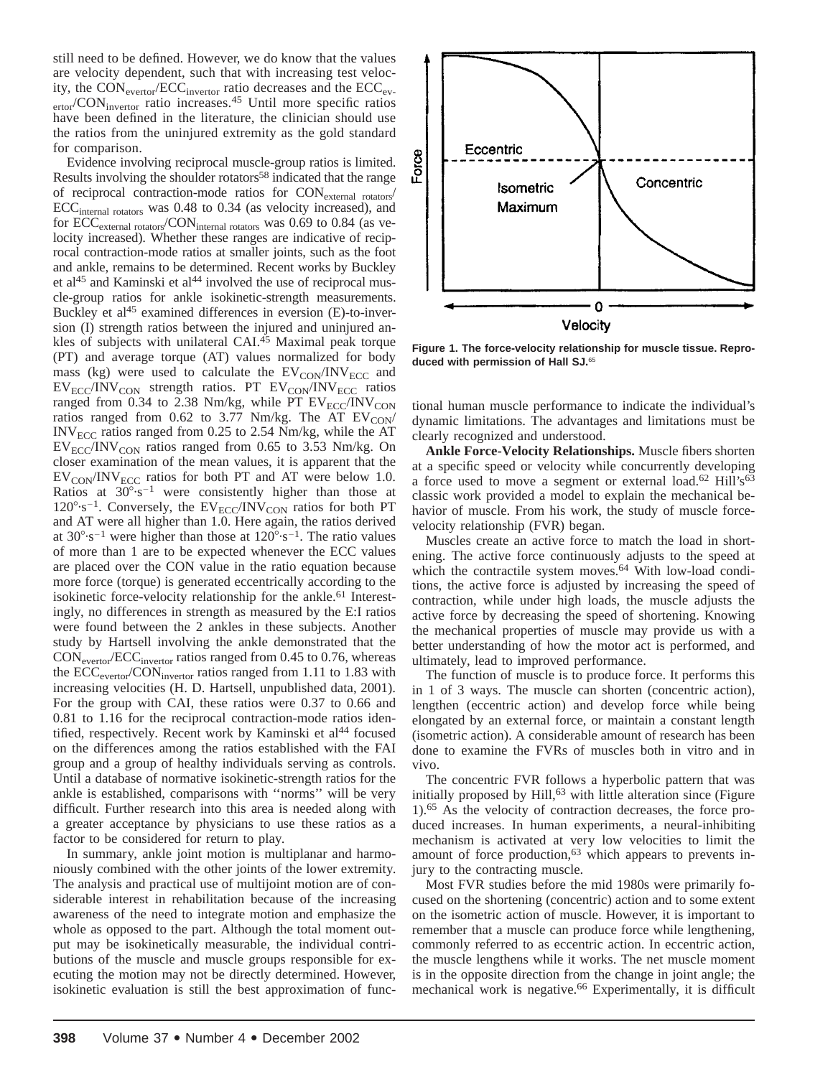still need to be defined. However, we do know that the values are velocity dependent, such that with increasing test velocity, the  $CON_{\text{evertor}}/ECC_{\text{inverter}}$  ratio decreases and the  $ECC_{\text{ev}}$ ertor/CON<sub>invertor</sub> ratio increases.<sup>45</sup> Until more specific ratios have been defined in the literature, the clinician should use the ratios from the uninjured extremity as the gold standard for comparison.

Evidence involving reciprocal muscle-group ratios is limited. Results involving the shoulder rotators<sup>58</sup> indicated that the range of reciprocal contraction-mode ratios for CONexternal rotators/ ECC<sub>internal rotators</sub> was 0.48 to 0.34 (as velocity increased), and for ECC<sub>external rotators</sub>/CON<sub>internal rotators</sub> was 0.69 to 0.84 (as velocity increased). Whether these ranges are indicative of reciprocal contraction-mode ratios at smaller joints, such as the foot and ankle, remains to be determined. Recent works by Buckley et al<sup>45</sup> and Kaminski et al<sup>44</sup> involved the use of reciprocal muscle-group ratios for ankle isokinetic-strength measurements. Buckley et  $al<sup>45</sup>$  examined differences in eversion (E)-to-inversion (I) strength ratios between the injured and uninjured ankles of subjects with unilateral CAI. $45$  Maximal peak torque (PT) and average torque (AT) values normalized for body mass (kg) were used to calculate the  $EV_{CON}/INV_{ECC}$  and  $EV_{ECC}/INV_{CON}$  strength ratios. PT  $EV_{CON}/INV_{ECC}$  ratios ranged from 0.34 to 2.38 Nm/kg, while PT  $EV_{ECC}/INV_{CON}$ ratios ranged from  $0.62$  to 3.77 Nm/kg. The AT  $EV_{CON}$ INVECC ratios ranged from 0.25 to 2.54 Nm/kg, while the AT  $EV_{ECC}/INV_{CON}$  ratios ranged from 0.65 to 3.53 Nm/kg. On closer examination of the mean values, it is apparent that the  $EV_{CON}/INV_{ECC}$  ratios for both PT and AT were below 1.0. Ratios at  $30^{\circ} \cdot s^{-1}$  were consistently higher than those at  $120^{\circ} \cdot s^{-1}$ . Conversely, the EV<sub>ECC</sub>/INV<sub>CON</sub> ratios for both PT and AT were all higher than 1.0. Here again, the ratios derived at  $30^{\circ} \cdot s^{-1}$  were higher than those at  $120^{\circ} \cdot s^{-1}$ . The ratio values of more than 1 are to be expected whenever the ECC values are placed over the CON value in the ratio equation because more force (torque) is generated eccentrically according to the isokinetic force-velocity relationship for the ankle.<sup>61</sup> Interestingly, no differences in strength as measured by the E:I ratios were found between the 2 ankles in these subjects. Another study by Hartsell involving the ankle demonstrated that the CONevertor/ECCinvertor ratios ranged from 0.45 to 0.76, whereas the ECC<sub>evertor</sub>/CON<sub>invertor</sub> ratios ranged from 1.11 to 1.83 with increasing velocities (H. D. Hartsell, unpublished data, 2001). For the group with CAI, these ratios were 0.37 to 0.66 and 0.81 to 1.16 for the reciprocal contraction-mode ratios identified, respectively. Recent work by Kaminski et al<sup>44</sup> focused on the differences among the ratios established with the FAI group and a group of healthy individuals serving as controls. Until a database of normative isokinetic-strength ratios for the ankle is established, comparisons with ''norms'' will be very difficult. Further research into this area is needed along with a greater acceptance by physicians to use these ratios as a factor to be considered for return to play.

In summary, ankle joint motion is multiplanar and harmoniously combined with the other joints of the lower extremity. The analysis and practical use of multijoint motion are of considerable interest in rehabilitation because of the increasing awareness of the need to integrate motion and emphasize the whole as opposed to the part. Although the total moment output may be isokinetically measurable, the individual contributions of the muscle and muscle groups responsible for executing the motion may not be directly determined. However, isokinetic evaluation is still the best approximation of func-



**Figure 1. The force-velocity relationship for muscle tissue. Reproduced with permission of Hall SJ.**<sup>65</sup>

tional human muscle performance to indicate the individual's dynamic limitations. The advantages and limitations must be clearly recognized and understood.

**Ankle Force-Velocity Relationships.** Muscle fibers shorten at a specific speed or velocity while concurrently developing a force used to move a segment or external load.<sup>62</sup> Hill's<sup>63</sup> classic work provided a model to explain the mechanical behavior of muscle. From his work, the study of muscle forcevelocity relationship (FVR) began.

Muscles create an active force to match the load in shortening. The active force continuously adjusts to the speed at which the contractile system moves.<sup>64</sup> With low-load conditions, the active force is adjusted by increasing the speed of contraction, while under high loads, the muscle adjusts the active force by decreasing the speed of shortening. Knowing the mechanical properties of muscle may provide us with a better understanding of how the motor act is performed, and ultimately, lead to improved performance.

The function of muscle is to produce force. It performs this in 1 of 3 ways. The muscle can shorten (concentric action), lengthen (eccentric action) and develop force while being elongated by an external force, or maintain a constant length (isometric action). A considerable amount of research has been done to examine the FVRs of muscles both in vitro and in vivo.

The concentric FVR follows a hyperbolic pattern that was initially proposed by  $Hill<sub>1</sub><sup>63</sup>$  with little alteration since (Figure 1).65 As the velocity of contraction decreases, the force produced increases. In human experiments, a neural-inhibiting mechanism is activated at very low velocities to limit the amount of force production,<sup>63</sup> which appears to prevents injury to the contracting muscle.

Most FVR studies before the mid 1980s were primarily focused on the shortening (concentric) action and to some extent on the isometric action of muscle. However, it is important to remember that a muscle can produce force while lengthening, commonly referred to as eccentric action. In eccentric action, the muscle lengthens while it works. The net muscle moment is in the opposite direction from the change in joint angle; the mechanical work is negative.<sup>66</sup> Experimentally, it is difficult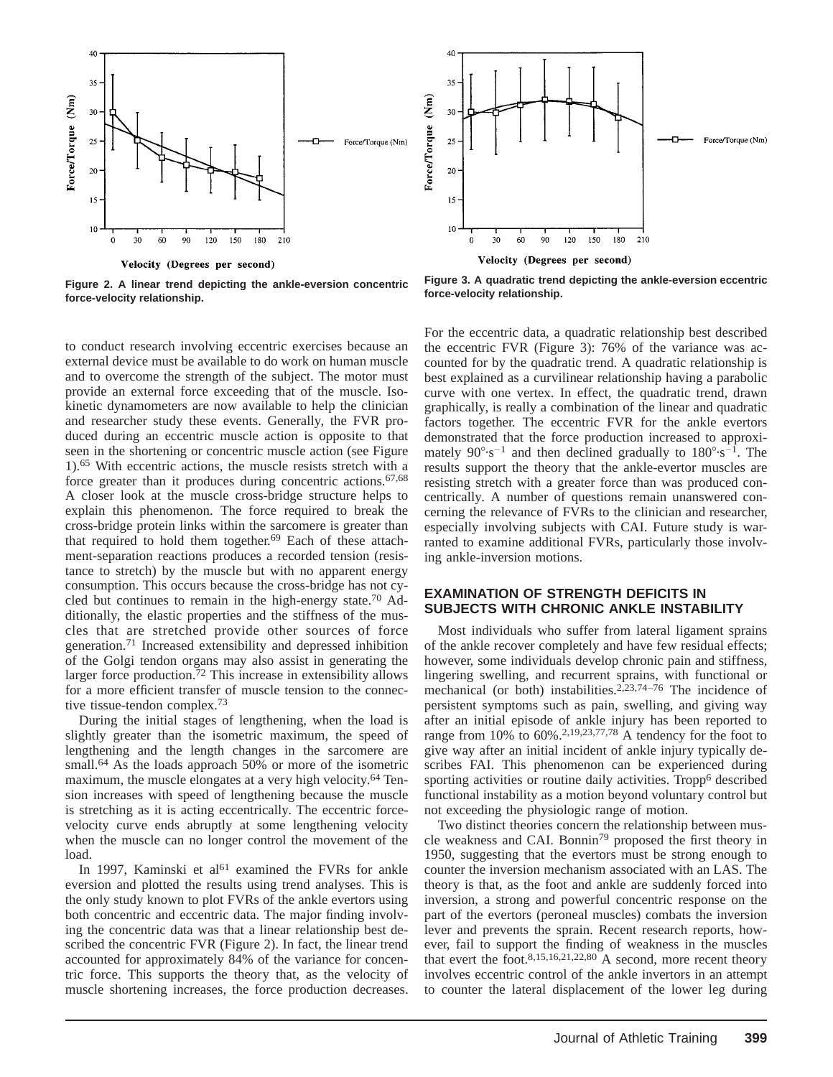

**Figure 2. A linear trend depicting the ankle-eversion concentric force-velocity relationship.**

to conduct research involving eccentric exercises because an external device must be available to do work on human muscle and to overcome the strength of the subject. The motor must provide an external force exceeding that of the muscle. Isokinetic dynamometers are now available to help the clinician and researcher study these events. Generally, the FVR produced during an eccentric muscle action is opposite to that seen in the shortening or concentric muscle action (see Figure 1).65 With eccentric actions, the muscle resists stretch with a force greater than it produces during concentric actions.<sup>67,68</sup> A closer look at the muscle cross-bridge structure helps to explain this phenomenon. The force required to break the cross-bridge protein links within the sarcomere is greater than that required to hold them together. $69$  Each of these attachment-separation reactions produces a recorded tension (resistance to stretch) by the muscle but with no apparent energy consumption. This occurs because the cross-bridge has not cycled but continues to remain in the high-energy state.70 Additionally, the elastic properties and the stiffness of the muscles that are stretched provide other sources of force generation.71 Increased extensibility and depressed inhibition of the Golgi tendon organs may also assist in generating the larger force production.72 This increase in extensibility allows for a more efficient transfer of muscle tension to the connective tissue-tendon complex.73

During the initial stages of lengthening, when the load is slightly greater than the isometric maximum, the speed of lengthening and the length changes in the sarcomere are small.<sup>64</sup> As the loads approach 50% or more of the isometric maximum, the muscle elongates at a very high velocity.<sup>64</sup> Tension increases with speed of lengthening because the muscle is stretching as it is acting eccentrically. The eccentric forcevelocity curve ends abruptly at some lengthening velocity when the muscle can no longer control the movement of the load.

In 1997, Kaminski et al<sup>61</sup> examined the FVRs for ankle eversion and plotted the results using trend analyses. This is the only study known to plot FVRs of the ankle evertors using both concentric and eccentric data. The major finding involving the concentric data was that a linear relationship best described the concentric FVR (Figure 2). In fact, the linear trend accounted for approximately 84% of the variance for concentric force. This supports the theory that, as the velocity of muscle shortening increases, the force production decreases.



**Figure 3. A quadratic trend depicting the ankle-eversion eccentric force-velocity relationship.**

For the eccentric data, a quadratic relationship best described the eccentric FVR (Figure 3): 76% of the variance was accounted for by the quadratic trend. A quadratic relationship is best explained as a curvilinear relationship having a parabolic curve with one vertex. In effect, the quadratic trend, drawn graphically, is really a combination of the linear and quadratic factors together. The eccentric FVR for the ankle evertors demonstrated that the force production increased to approximately  $90^{\circ} \cdot s^{-1}$  and then declined gradually to  $180^{\circ} \cdot s^{-1}$ . The results support the theory that the ankle-evertor muscles are resisting stretch with a greater force than was produced concentrically. A number of questions remain unanswered concerning the relevance of FVRs to the clinician and researcher, especially involving subjects with CAI. Future study is warranted to examine additional FVRs, particularly those involving ankle-inversion motions.

#### **EXAMINATION OF STRENGTH DEFICITS IN SUBJECTS WITH CHRONIC ANKLE INSTABILITY**

Most individuals who suffer from lateral ligament sprains of the ankle recover completely and have few residual effects; however, some individuals develop chronic pain and stiffness, lingering swelling, and recurrent sprains, with functional or mechanical (or both) instabilities.<sup>2,23,74–76</sup> The incidence of persistent symptoms such as pain, swelling, and giving way after an initial episode of ankle injury has been reported to range from 10% to  $60\%$ .<sup>2,19,23,77,78</sup> A tendency for the foot to give way after an initial incident of ankle injury typically describes FAI. This phenomenon can be experienced during sporting activities or routine daily activities. Tropp<sup>6</sup> described functional instability as a motion beyond voluntary control but not exceeding the physiologic range of motion.

Two distinct theories concern the relationship between muscle weakness and CAI. Bonnin79 proposed the first theory in 1950, suggesting that the evertors must be strong enough to counter the inversion mechanism associated with an LAS. The theory is that, as the foot and ankle are suddenly forced into inversion, a strong and powerful concentric response on the part of the evertors (peroneal muscles) combats the inversion lever and prevents the sprain. Recent research reports, however, fail to support the finding of weakness in the muscles that evert the foot.<sup>8,15,16,21,22,80</sup> A second, more recent theory involves eccentric control of the ankle invertors in an attempt to counter the lateral displacement of the lower leg during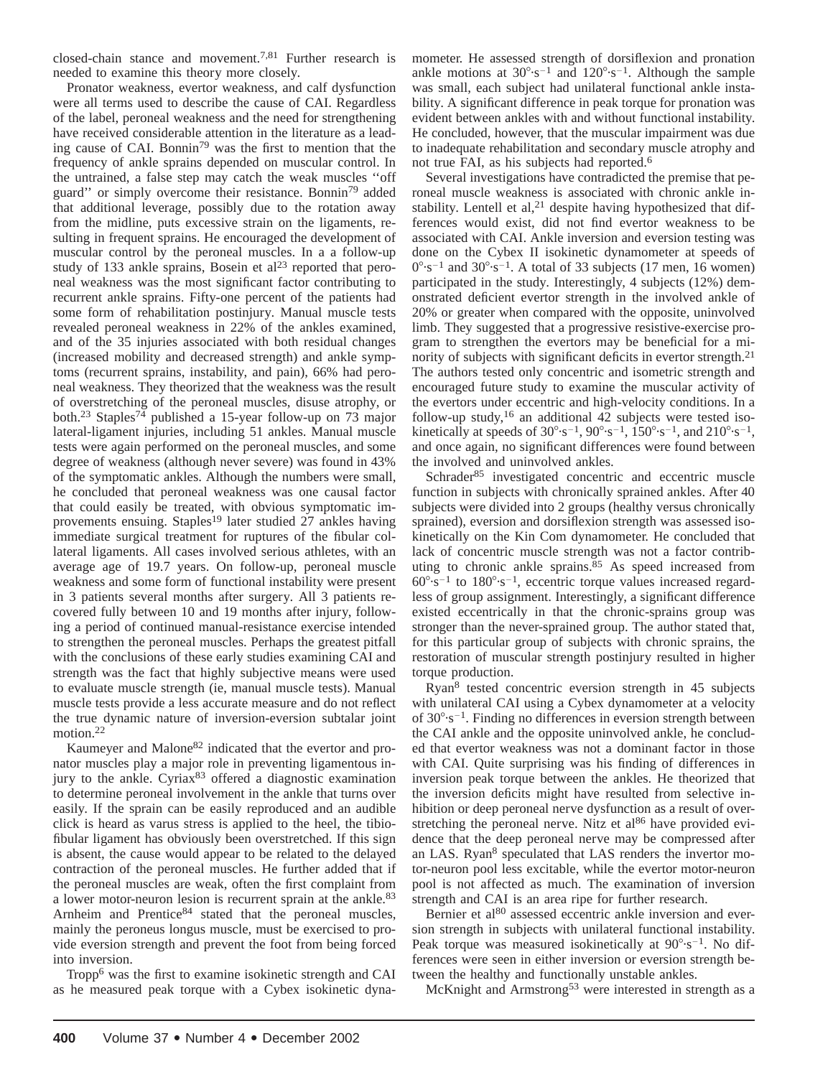closed-chain stance and movement.7,81 Further research is needed to examine this theory more closely.

Pronator weakness, evertor weakness, and calf dysfunction were all terms used to describe the cause of CAI. Regardless of the label, peroneal weakness and the need for strengthening have received considerable attention in the literature as a leading cause of CAI. Bonnin<sup>79</sup> was the first to mention that the frequency of ankle sprains depended on muscular control. In the untrained, a false step may catch the weak muscles ''off guard'' or simply overcome their resistance. Bonnin79 added that additional leverage, possibly due to the rotation away from the midline, puts excessive strain on the ligaments, resulting in frequent sprains. He encouraged the development of muscular control by the peroneal muscles. In a a follow-up study of 133 ankle sprains, Bosein et al<sup>23</sup> reported that peroneal weakness was the most significant factor contributing to recurrent ankle sprains. Fifty-one percent of the patients had some form of rehabilitation postinjury. Manual muscle tests revealed peroneal weakness in 22% of the ankles examined, and of the 35 injuries associated with both residual changes (increased mobility and decreased strength) and ankle symptoms (recurrent sprains, instability, and pain), 66% had peroneal weakness. They theorized that the weakness was the result of overstretching of the peroneal muscles, disuse atrophy, or both.23 Staples<sup>74</sup> published a 15-year follow-up on 73 major lateral-ligament injuries, including 51 ankles. Manual muscle tests were again performed on the peroneal muscles, and some degree of weakness (although never severe) was found in 43% of the symptomatic ankles. Although the numbers were small, he concluded that peroneal weakness was one causal factor that could easily be treated, with obvious symptomatic improvements ensuing. Staples<sup>19</sup> later studied 27 ankles having immediate surgical treatment for ruptures of the fibular collateral ligaments. All cases involved serious athletes, with an average age of 19.7 years. On follow-up, peroneal muscle weakness and some form of functional instability were present in 3 patients several months after surgery. All 3 patients recovered fully between 10 and 19 months after injury, following a period of continued manual-resistance exercise intended to strengthen the peroneal muscles. Perhaps the greatest pitfall with the conclusions of these early studies examining CAI and strength was the fact that highly subjective means were used to evaluate muscle strength (ie, manual muscle tests). Manual muscle tests provide a less accurate measure and do not reflect the true dynamic nature of inversion-eversion subtalar joint motion.<sup>22</sup>

Kaumeyer and Malone82 indicated that the evertor and pronator muscles play a major role in preventing ligamentous injury to the ankle. Cyriax<sup>83</sup> offered a diagnostic examination to determine peroneal involvement in the ankle that turns over easily. If the sprain can be easily reproduced and an audible click is heard as varus stress is applied to the heel, the tibiofibular ligament has obviously been overstretched. If this sign is absent, the cause would appear to be related to the delayed contraction of the peroneal muscles. He further added that if the peroneal muscles are weak, often the first complaint from a lower motor-neuron lesion is recurrent sprain at the ankle.<sup>83</sup> Arnheim and Prentice<sup>84</sup> stated that the peroneal muscles, mainly the peroneus longus muscle, must be exercised to provide eversion strength and prevent the foot from being forced into inversion.

Tropp6 was the first to examine isokinetic strength and CAI as he measured peak torque with a Cybex isokinetic dyna-

mometer. He assessed strength of dorsiflexion and pronation ankle motions at  $30^{\circ} \cdot s^{-1}$  and  $120^{\circ} \cdot s^{-1}$ . Although the sample was small, each subject had unilateral functional ankle instability. A significant difference in peak torque for pronation was evident between ankles with and without functional instability. He concluded, however, that the muscular impairment was due to inadequate rehabilitation and secondary muscle atrophy and not true FAI, as his subjects had reported.6

Several investigations have contradicted the premise that peroneal muscle weakness is associated with chronic ankle instability. Lentell et al, $2<sup>1</sup>$  despite having hypothesized that differences would exist, did not find evertor weakness to be associated with CAI. Ankle inversion and eversion testing was done on the Cybex II isokinetic dynamometer at speeds of  $0^{\circ}$ ·s<sup>-1</sup> and  $30^{\circ}$ ·s<sup>-1</sup>. A total of 33 subjects (17 men, 16 women) participated in the study. Interestingly, 4 subjects (12%) demonstrated deficient evertor strength in the involved ankle of 20% or greater when compared with the opposite, uninvolved limb. They suggested that a progressive resistive-exercise program to strengthen the evertors may be beneficial for a minority of subjects with significant deficits in evertor strength.<sup>21</sup> The authors tested only concentric and isometric strength and encouraged future study to examine the muscular activity of the evertors under eccentric and high-velocity conditions. In a follow-up study, $16$  an additional 42 subjects were tested isokinetically at speeds of  $30^{\circ} \cdot s^{-1}$ ,  $90^{\circ} \cdot s^{-1}$ ,  $150^{\circ} \cdot s^{-1}$ , and  $210^{\circ} \cdot s^{-1}$ , and once again, no significant differences were found between the involved and uninvolved ankles.

Schrader<sup>85</sup> investigated concentric and eccentric muscle function in subjects with chronically sprained ankles. After 40 subjects were divided into 2 groups (healthy versus chronically sprained), eversion and dorsiflexion strength was assessed isokinetically on the Kin Com dynamometer. He concluded that lack of concentric muscle strength was not a factor contributing to chronic ankle sprains.<sup>85</sup> As speed increased from  $60^{\circ} \cdot s^{-1}$  to  $180^{\circ} \cdot s^{-1}$ , eccentric torque values increased regardless of group assignment. Interestingly, a significant difference existed eccentrically in that the chronic-sprains group was stronger than the never-sprained group. The author stated that, for this particular group of subjects with chronic sprains, the restoration of muscular strength postinjury resulted in higher torque production.

Ryan8 tested concentric eversion strength in 45 subjects with unilateral CAI using a Cybex dynamometer at a velocity of  $30^{\circ} \cdot s^{-1}$ . Finding no differences in eversion strength between the CAI ankle and the opposite uninvolved ankle, he concluded that evertor weakness was not a dominant factor in those with CAI. Quite surprising was his finding of differences in inversion peak torque between the ankles. He theorized that the inversion deficits might have resulted from selective inhibition or deep peroneal nerve dysfunction as a result of overstretching the peroneal nerve. Nitz et  $al^{86}$  have provided evidence that the deep peroneal nerve may be compressed after an LAS. Ryan<sup>8</sup> speculated that LAS renders the invertor motor-neuron pool less excitable, while the evertor motor-neuron pool is not affected as much. The examination of inversion strength and CAI is an area ripe for further research.

Bernier et al<sup>80</sup> assessed eccentric ankle inversion and eversion strength in subjects with unilateral functional instability. Peak torque was measured isokinetically at  $90^{\circ} \text{·s}^{-1}$ . No differences were seen in either inversion or eversion strength between the healthy and functionally unstable ankles.

McKnight and Armstrong<sup>53</sup> were interested in strength as a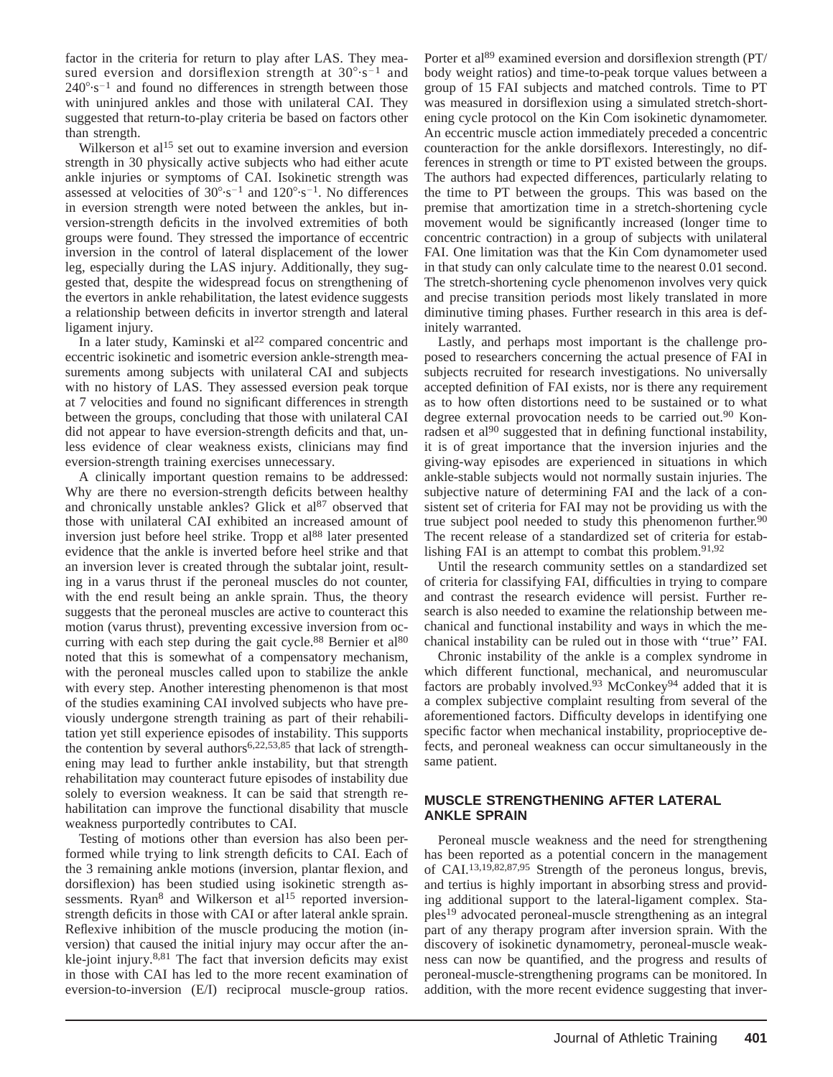factor in the criteria for return to play after LAS. They measured eversion and dorsiflexion strength at  $30^{\circ} \cdot s^{-1}$  and  $240^{\circ} \cdot s^{-1}$  and found no differences in strength between those with uninjured ankles and those with unilateral CAI. They suggested that return-to-play criteria be based on factors other than strength.

Wilkerson et al<sup>15</sup> set out to examine inversion and eversion strength in 30 physically active subjects who had either acute ankle injuries or symptoms of CAI. Isokinetic strength was assessed at velocities of  $30^{\circ} \cdot s^{-1}$  and  $120^{\circ} \cdot s^{-1}$ . No differences in eversion strength were noted between the ankles, but inversion-strength deficits in the involved extremities of both groups were found. They stressed the importance of eccentric inversion in the control of lateral displacement of the lower leg, especially during the LAS injury. Additionally, they suggested that, despite the widespread focus on strengthening of the evertors in ankle rehabilitation, the latest evidence suggests a relationship between deficits in invertor strength and lateral ligament injury.

In a later study, Kaminski et al<sup>22</sup> compared concentric and eccentric isokinetic and isometric eversion ankle-strength measurements among subjects with unilateral CAI and subjects with no history of LAS. They assessed eversion peak torque at 7 velocities and found no significant differences in strength between the groups, concluding that those with unilateral CAI did not appear to have eversion-strength deficits and that, unless evidence of clear weakness exists, clinicians may find eversion-strength training exercises unnecessary.

A clinically important question remains to be addressed: Why are there no eversion-strength deficits between healthy and chronically unstable ankles? Glick et  $al^{87}$  observed that those with unilateral CAI exhibited an increased amount of inversion just before heel strike. Tropp et al<sup>88</sup> later presented evidence that the ankle is inverted before heel strike and that an inversion lever is created through the subtalar joint, resulting in a varus thrust if the peroneal muscles do not counter, with the end result being an ankle sprain. Thus, the theory suggests that the peroneal muscles are active to counteract this motion (varus thrust), preventing excessive inversion from occurring with each step during the gait cycle.<sup>88</sup> Bernier et  $al^{80}$ noted that this is somewhat of a compensatory mechanism, with the peroneal muscles called upon to stabilize the ankle with every step. Another interesting phenomenon is that most of the studies examining CAI involved subjects who have previously undergone strength training as part of their rehabilitation yet still experience episodes of instability. This supports the contention by several authors<sup>6,22,53,85</sup> that lack of strengthening may lead to further ankle instability, but that strength rehabilitation may counteract future episodes of instability due solely to eversion weakness. It can be said that strength rehabilitation can improve the functional disability that muscle weakness purportedly contributes to CAI.

Testing of motions other than eversion has also been performed while trying to link strength deficits to CAI. Each of the 3 remaining ankle motions (inversion, plantar flexion, and dorsiflexion) has been studied using isokinetic strength assessments. Ryan<sup>8</sup> and Wilkerson et al<sup>15</sup> reported inversionstrength deficits in those with CAI or after lateral ankle sprain. Reflexive inhibition of the muscle producing the motion (inversion) that caused the initial injury may occur after the ankle-joint injury.8,81 The fact that inversion deficits may exist in those with CAI has led to the more recent examination of eversion-to-inversion (E/I) reciprocal muscle-group ratios.

Porter et al<sup>89</sup> examined eversion and dorsiflexion strength (PT/ body weight ratios) and time-to-peak torque values between a group of 15 FAI subjects and matched controls. Time to PT was measured in dorsiflexion using a simulated stretch-shortening cycle protocol on the Kin Com isokinetic dynamometer. An eccentric muscle action immediately preceded a concentric counteraction for the ankle dorsiflexors. Interestingly, no differences in strength or time to PT existed between the groups. The authors had expected differences, particularly relating to the time to PT between the groups. This was based on the premise that amortization time in a stretch-shortening cycle movement would be significantly increased (longer time to concentric contraction) in a group of subjects with unilateral FAI. One limitation was that the Kin Com dynamometer used in that study can only calculate time to the nearest 0.01 second. The stretch-shortening cycle phenomenon involves very quick and precise transition periods most likely translated in more diminutive timing phases. Further research in this area is definitely warranted.

Lastly, and perhaps most important is the challenge proposed to researchers concerning the actual presence of FAI in subjects recruited for research investigations. No universally accepted definition of FAI exists, nor is there any requirement as to how often distortions need to be sustained or to what degree external provocation needs to be carried out.<sup>90</sup> Konradsen et al<sup>90</sup> suggested that in defining functional instability, it is of great importance that the inversion injuries and the giving-way episodes are experienced in situations in which ankle-stable subjects would not normally sustain injuries. The subjective nature of determining FAI and the lack of a consistent set of criteria for FAI may not be providing us with the true subject pool needed to study this phenomenon further.<sup>90</sup> The recent release of a standardized set of criteria for establishing FAI is an attempt to combat this problem.<sup>91,92</sup>

Until the research community settles on a standardized set of criteria for classifying FAI, difficulties in trying to compare and contrast the research evidence will persist. Further research is also needed to examine the relationship between mechanical and functional instability and ways in which the mechanical instability can be ruled out in those with ''true'' FAI.

Chronic instability of the ankle is a complex syndrome in which different functional, mechanical, and neuromuscular factors are probably involved.<sup>93</sup> McConkey<sup>94</sup> added that it is a complex subjective complaint resulting from several of the aforementioned factors. Difficulty develops in identifying one specific factor when mechanical instability, proprioceptive defects, and peroneal weakness can occur simultaneously in the same patient.

## **MUSCLE STRENGTHENING AFTER LATERAL ANKLE SPRAIN**

Peroneal muscle weakness and the need for strengthening has been reported as a potential concern in the management of CAI.13,19,82,87,95 Strength of the peroneus longus, brevis, and tertius is highly important in absorbing stress and providing additional support to the lateral-ligament complex. Staples19 advocated peroneal-muscle strengthening as an integral part of any therapy program after inversion sprain. With the discovery of isokinetic dynamometry, peroneal-muscle weakness can now be quantified, and the progress and results of peroneal-muscle-strengthening programs can be monitored. In addition, with the more recent evidence suggesting that inver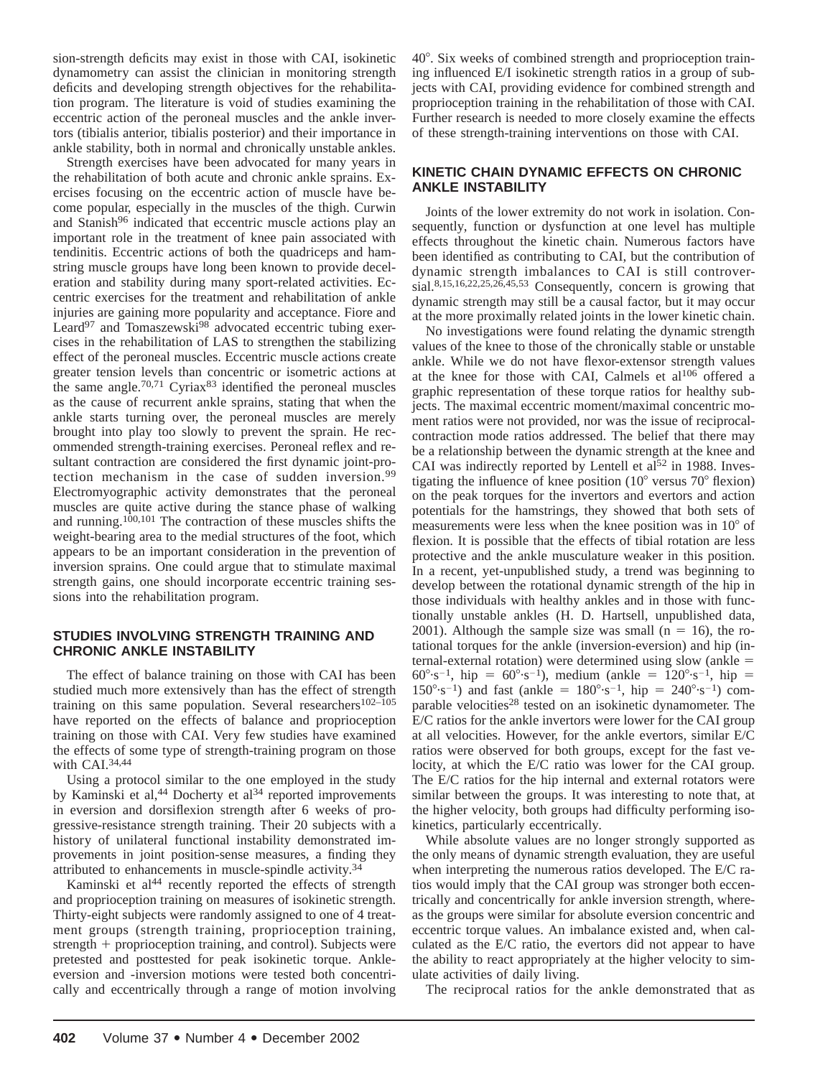sion-strength deficits may exist in those with CAI, isokinetic dynamometry can assist the clinician in monitoring strength deficits and developing strength objectives for the rehabilitation program. The literature is void of studies examining the eccentric action of the peroneal muscles and the ankle invertors (tibialis anterior, tibialis posterior) and their importance in ankle stability, both in normal and chronically unstable ankles.

Strength exercises have been advocated for many years in the rehabilitation of both acute and chronic ankle sprains. Exercises focusing on the eccentric action of muscle have become popular, especially in the muscles of the thigh. Curwin and Stanish<sup>96</sup> indicated that eccentric muscle actions play an important role in the treatment of knee pain associated with tendinitis. Eccentric actions of both the quadriceps and hamstring muscle groups have long been known to provide deceleration and stability during many sport-related activities. Eccentric exercises for the treatment and rehabilitation of ankle injuries are gaining more popularity and acceptance. Fiore and Leard<sup>97</sup> and Tomaszewski<sup>98</sup> advocated eccentric tubing exercises in the rehabilitation of LAS to strengthen the stabilizing effect of the peroneal muscles. Eccentric muscle actions create greater tension levels than concentric or isometric actions at the same angle.<sup>70,71</sup> Cyriax<sup>83</sup> identified the peroneal muscles as the cause of recurrent ankle sprains, stating that when the ankle starts turning over, the peroneal muscles are merely brought into play too slowly to prevent the sprain. He recommended strength-training exercises. Peroneal reflex and resultant contraction are considered the first dynamic joint-protection mechanism in the case of sudden inversion.<sup>99</sup> Electromyographic activity demonstrates that the peroneal muscles are quite active during the stance phase of walking and running.<sup>100,101</sup> The contraction of these muscles shifts the weight-bearing area to the medial structures of the foot, which appears to be an important consideration in the prevention of inversion sprains. One could argue that to stimulate maximal strength gains, one should incorporate eccentric training sessions into the rehabilitation program.

### **STUDIES INVOLVING STRENGTH TRAINING AND CHRONIC ANKLE INSTABILITY**

The effect of balance training on those with CAI has been studied much more extensively than has the effect of strength training on this same population. Several researchers<sup>102–105</sup> have reported on the effects of balance and proprioception training on those with CAI. Very few studies have examined the effects of some type of strength-training program on those with CAI.34,44

Using a protocol similar to the one employed in the study by Kaminski et al,<sup>44</sup> Docherty et al<sup>34</sup> reported improvements in eversion and dorsiflexion strength after 6 weeks of progressive-resistance strength training. Their 20 subjects with a history of unilateral functional instability demonstrated improvements in joint position-sense measures, a finding they attributed to enhancements in muscle-spindle activity.<sup>34</sup>

Kaminski et  $a^{144}$  recently reported the effects of strength and proprioception training on measures of isokinetic strength. Thirty-eight subjects were randomly assigned to one of 4 treatment groups (strength training, proprioception training, strength  $+$  proprioception training, and control). Subjects were pretested and posttested for peak isokinetic torque. Ankleeversion and -inversion motions were tested both concentrically and eccentrically through a range of motion involving 408. Six weeks of combined strength and proprioception training influenced E/I isokinetic strength ratios in a group of subjects with CAI, providing evidence for combined strength and proprioception training in the rehabilitation of those with CAI. Further research is needed to more closely examine the effects of these strength-training interventions on those with CAI.

### **KINETIC CHAIN DYNAMIC EFFECTS ON CHRONIC ANKLE INSTABILITY**

Joints of the lower extremity do not work in isolation. Consequently, function or dysfunction at one level has multiple effects throughout the kinetic chain. Numerous factors have been identified as contributing to CAI, but the contribution of dynamic strength imbalances to CAI is still controversial.8,15,16,22,25,26,45,53 Consequently, concern is growing that dynamic strength may still be a causal factor, but it may occur at the more proximally related joints in the lower kinetic chain.

No investigations were found relating the dynamic strength values of the knee to those of the chronically stable or unstable ankle. While we do not have flexor-extensor strength values at the knee for those with CAI, Calmels et al<sup>106</sup> offered a graphic representation of these torque ratios for healthy subjects. The maximal eccentric moment/maximal concentric moment ratios were not provided, nor was the issue of reciprocalcontraction mode ratios addressed. The belief that there may be a relationship between the dynamic strength at the knee and CAI was indirectly reported by Lentell et  $aI<sup>52</sup>$  in 1988. Investigating the influence of knee position  $(10^{\circ}$  versus  $70^{\circ}$  flexion) on the peak torques for the invertors and evertors and action potentials for the hamstrings, they showed that both sets of measurements were less when the knee position was in  $10^{\circ}$  of flexion. It is possible that the effects of tibial rotation are less protective and the ankle musculature weaker in this position. In a recent, yet-unpublished study, a trend was beginning to develop between the rotational dynamic strength of the hip in those individuals with healthy ankles and in those with functionally unstable ankles (H. D. Hartsell, unpublished data, 2001). Although the sample size was small ( $n = 16$ ), the rotational torques for the ankle (inversion-eversion) and hip (internal-external rotation) were determined using slow (ankle  $=$ 60°·s<sup>-1</sup>, hip = 60°·s<sup>-1</sup>), medium (ankle = 120°·s<sup>-1</sup>, hip =  $150^{\circ} \cdot s^{-1}$ ) and fast (ankle =  $180^{\circ} \cdot s^{-1}$ , hip =  $240^{\circ} \cdot s^{-1}$ ) comparable velocities<sup>28</sup> tested on an isokinetic dynamometer. The E/C ratios for the ankle invertors were lower for the CAI group at all velocities. However, for the ankle evertors, similar E/C ratios were observed for both groups, except for the fast velocity, at which the E/C ratio was lower for the CAI group. The E/C ratios for the hip internal and external rotators were similar between the groups. It was interesting to note that, at the higher velocity, both groups had difficulty performing isokinetics, particularly eccentrically.

While absolute values are no longer strongly supported as the only means of dynamic strength evaluation, they are useful when interpreting the numerous ratios developed. The E/C ratios would imply that the CAI group was stronger both eccentrically and concentrically for ankle inversion strength, whereas the groups were similar for absolute eversion concentric and eccentric torque values. An imbalance existed and, when calculated as the E/C ratio, the evertors did not appear to have the ability to react appropriately at the higher velocity to simulate activities of daily living.

The reciprocal ratios for the ankle demonstrated that as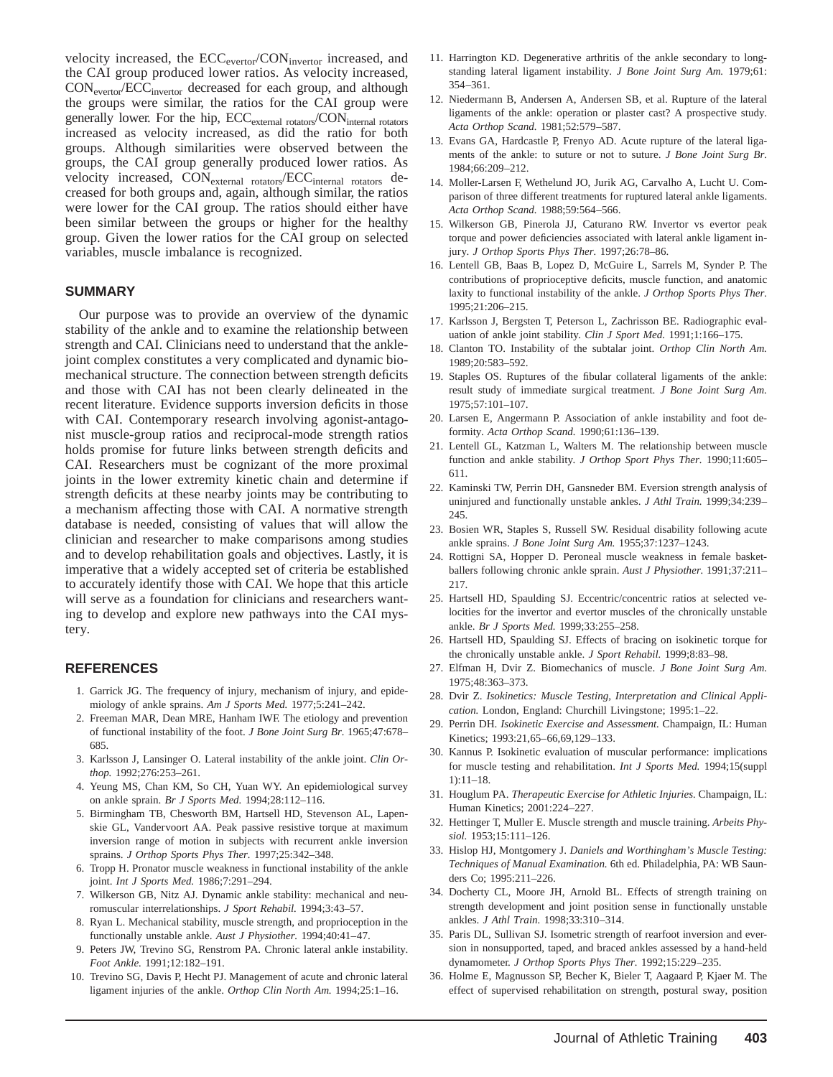velocity increased, the ECC<sub>evertor</sub>/CON<sub>invertor</sub> increased, and the CAI group produced lower ratios. As velocity increased, CONevertor/ECCinvertor decreased for each group, and although the groups were similar, the ratios for the CAI group were generally lower. For the hip,  $ECC_{external\ rotators}/CON_{internal\ rotators}$ increased as velocity increased, as did the ratio for both groups. Although similarities were observed between the groups, the CAI group generally produced lower ratios. As velocity increased,  $CON_{\text{external rotators}}/ECC_{\text{internal rotators}}$  decreased for both groups and, again, although similar, the ratios were lower for the CAI group. The ratios should either have been similar between the groups or higher for the healthy group. Given the lower ratios for the CAI group on selected variables, muscle imbalance is recognized.

#### **SUMMARY**

Our purpose was to provide an overview of the dynamic stability of the ankle and to examine the relationship between strength and CAI. Clinicians need to understand that the anklejoint complex constitutes a very complicated and dynamic biomechanical structure. The connection between strength deficits and those with CAI has not been clearly delineated in the recent literature. Evidence supports inversion deficits in those with CAI. Contemporary research involving agonist-antagonist muscle-group ratios and reciprocal-mode strength ratios holds promise for future links between strength deficits and CAI. Researchers must be cognizant of the more proximal joints in the lower extremity kinetic chain and determine if strength deficits at these nearby joints may be contributing to a mechanism affecting those with CAI. A normative strength database is needed, consisting of values that will allow the clinician and researcher to make comparisons among studies and to develop rehabilitation goals and objectives. Lastly, it is imperative that a widely accepted set of criteria be established to accurately identify those with CAI. We hope that this article will serve as a foundation for clinicians and researchers wanting to develop and explore new pathways into the CAI mystery.

#### **REFERENCES**

- 1. Garrick JG. The frequency of injury, mechanism of injury, and epidemiology of ankle sprains. *Am J Sports Med.* 1977;5:241–242.
- 2. Freeman MAR, Dean MRE, Hanham IWF. The etiology and prevention of functional instability of the foot. *J Bone Joint Surg Br.* 1965;47:678– 685.
- 3. Karlsson J, Lansinger O. Lateral instability of the ankle joint. *Clin Orthop.* 1992;276:253–261.
- 4. Yeung MS, Chan KM, So CH, Yuan WY. An epidemiological survey on ankle sprain. *Br J Sports Med.* 1994;28:112–116.
- 5. Birmingham TB, Chesworth BM, Hartsell HD, Stevenson AL, Lapenskie GL, Vandervoort AA. Peak passive resistive torque at maximum inversion range of motion in subjects with recurrent ankle inversion sprains. *J Orthop Sports Phys Ther.* 1997;25:342–348.
- 6. Tropp H. Pronator muscle weakness in functional instability of the ankle joint. *Int J Sports Med.* 1986;7:291–294.
- 7. Wilkerson GB, Nitz AJ. Dynamic ankle stability: mechanical and neuromuscular interrelationships. *J Sport Rehabil.* 1994;3:43–57.
- 8. Ryan L. Mechanical stability, muscle strength, and proprioception in the functionally unstable ankle. *Aust J Physiother.* 1994;40:41–47.
- 9. Peters JW, Trevino SG, Renstrom PA. Chronic lateral ankle instability. *Foot Ankle.* 1991;12:182–191.
- 10. Trevino SG, Davis P, Hecht PJ. Management of acute and chronic lateral ligament injuries of the ankle. *Orthop Clin North Am.* 1994;25:1–16.
- 11. Harrington KD. Degenerative arthritis of the ankle secondary to longstanding lateral ligament instability. *J Bone Joint Surg Am.* 1979;61: 354–361.
- 12. Niedermann B, Andersen A, Andersen SB, et al. Rupture of the lateral ligaments of the ankle: operation or plaster cast? A prospective study. *Acta Orthop Scand.* 1981;52:579–587.
- 13. Evans GA, Hardcastle P, Frenyo AD. Acute rupture of the lateral ligaments of the ankle: to suture or not to suture. *J Bone Joint Surg Br.* 1984;66:209–212.
- 14. Moller-Larsen F, Wethelund JO, Jurik AG, Carvalho A, Lucht U. Comparison of three different treatments for ruptured lateral ankle ligaments. *Acta Orthop Scand.* 1988;59:564–566.
- 15. Wilkerson GB, Pinerola JJ, Caturano RW. Invertor vs evertor peak torque and power deficiencies associated with lateral ankle ligament injury. *J Orthop Sports Phys Ther.* 1997;26:78–86.
- 16. Lentell GB, Baas B, Lopez D, McGuire L, Sarrels M, Synder P. The contributions of proprioceptive deficits, muscle function, and anatomic laxity to functional instability of the ankle. *J Orthop Sports Phys Ther.* 1995;21:206–215.
- 17. Karlsson J, Bergsten T, Peterson L, Zachrisson BE. Radiographic evaluation of ankle joint stability. *Clin J Sport Med.* 1991;1:166–175.
- 18. Clanton TO. Instability of the subtalar joint. *Orthop Clin North Am.* 1989;20:583–592.
- 19. Staples OS. Ruptures of the fibular collateral ligaments of the ankle: result study of immediate surgical treatment. *J Bone Joint Surg Am.* 1975;57:101–107.
- 20. Larsen E, Angermann P. Association of ankle instability and foot deformity. *Acta Orthop Scand.* 1990;61:136–139.
- 21. Lentell GL, Katzman L, Walters M. The relationship between muscle function and ankle stability. *J Orthop Sport Phys Ther.* 1990;11:605– 611.
- 22. Kaminski TW, Perrin DH, Gansneder BM. Eversion strength analysis of uninjured and functionally unstable ankles. *J Athl Train.* 1999;34:239– 245.
- 23. Bosien WR, Staples S, Russell SW. Residual disability following acute ankle sprains. *J Bone Joint Surg Am.* 1955;37:1237–1243.
- 24. Rottigni SA, Hopper D. Peroneal muscle weakness in female basketballers following chronic ankle sprain. *Aust J Physiother.* 1991;37:211– 217.
- 25. Hartsell HD, Spaulding SJ. Eccentric/concentric ratios at selected velocities for the invertor and evertor muscles of the chronically unstable ankle. *Br J Sports Med.* 1999;33:255–258.
- 26. Hartsell HD, Spaulding SJ. Effects of bracing on isokinetic torque for the chronically unstable ankle. *J Sport Rehabil.* 1999;8:83–98.
- 27. Elfman H, Dvir Z. Biomechanics of muscle. *J Bone Joint Surg Am.* 1975;48:363–373.
- 28. Dvir Z. *Isokinetics: Muscle Testing, Interpretation and Clinical Application.* London, England: Churchill Livingstone; 1995:1–22.
- 29. Perrin DH. *Isokinetic Exercise and Assessment.* Champaign, IL: Human Kinetics; 1993:21,65–66,69,129–133.
- 30. Kannus P. Isokinetic evaluation of muscular performance: implications for muscle testing and rehabilitation. *Int J Sports Med.* 1994;15(suppl 1):11–18.
- 31. Houglum PA. *Therapeutic Exercise for Athletic Injuries.* Champaign, IL: Human Kinetics; 2001:224–227.
- 32. Hettinger T, Muller E. Muscle strength and muscle training. *Arbeits Physiol.* 1953;15:111–126.
- 33. Hislop HJ, Montgomery J. *Daniels and Worthingham's Muscle Testing: Techniques of Manual Examination.* 6th ed. Philadelphia, PA: WB Saunders Co; 1995:211–226.
- 34. Docherty CL, Moore JH, Arnold BL. Effects of strength training on strength development and joint position sense in functionally unstable ankles. *J Athl Train.* 1998;33:310–314.
- 35. Paris DL, Sullivan SJ. Isometric strength of rearfoot inversion and eversion in nonsupported, taped, and braced ankles assessed by a hand-held dynamometer. *J Orthop Sports Phys Ther.* 1992;15:229–235.
- 36. Holme E, Magnusson SP, Becher K, Bieler T, Aagaard P, Kjaer M. The effect of supervised rehabilitation on strength, postural sway, position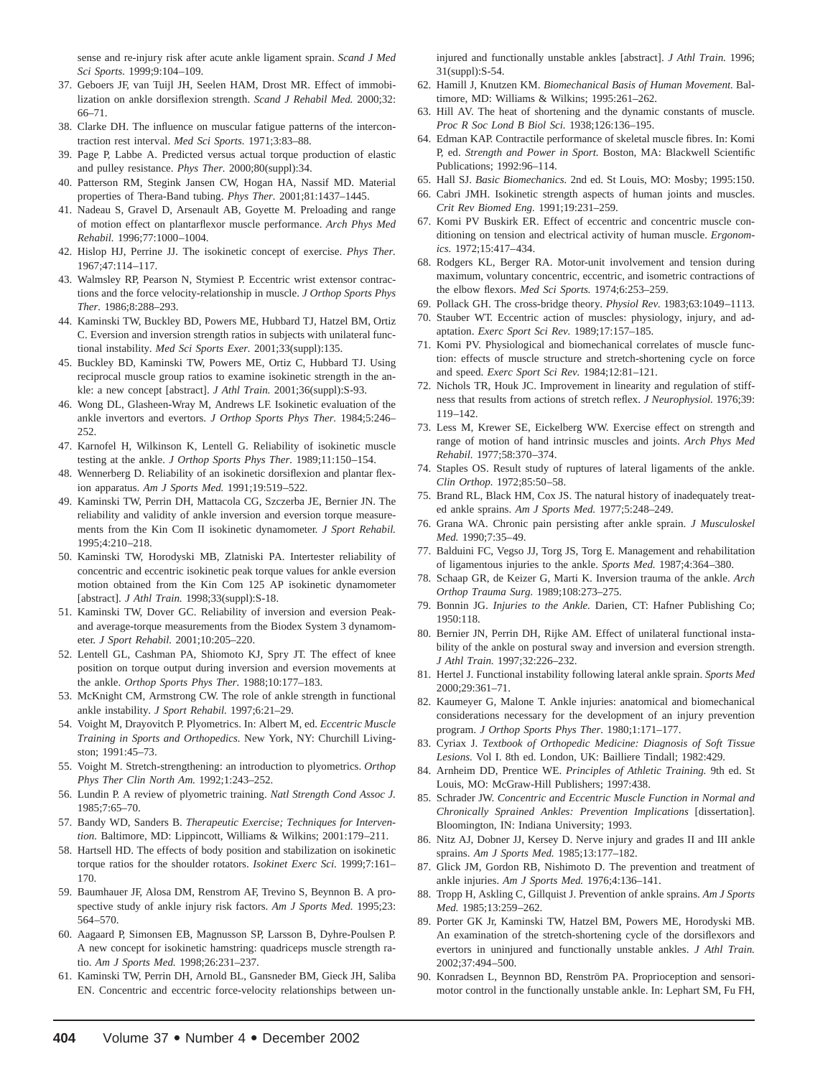sense and re-injury risk after acute ankle ligament sprain. *Scand J Med Sci Sports.* 1999;9:104–109.

- 37. Geboers JF, van Tuijl JH, Seelen HAM, Drost MR. Effect of immobilization on ankle dorsiflexion strength. *Scand J Rehabil Med.* 2000;32: 66–71.
- 38. Clarke DH. The influence on muscular fatigue patterns of the intercontraction rest interval. *Med Sci Sports.* 1971;3:83–88.
- 39. Page P, Labbe A. Predicted versus actual torque production of elastic and pulley resistance. *Phys Ther.* 2000;80(suppl):34.
- 40. Patterson RM, Stegink Jansen CW, Hogan HA, Nassif MD. Material properties of Thera-Band tubing. *Phys Ther.* 2001;81:1437–1445.
- 41. Nadeau S, Gravel D, Arsenault AB, Goyette M. Preloading and range of motion effect on plantarflexor muscle performance. *Arch Phys Med Rehabil.* 1996;77:1000–1004.
- 42. Hislop HJ, Perrine JJ. The isokinetic concept of exercise. *Phys Ther.* 1967;47:114–117.
- 43. Walmsley RP, Pearson N, Stymiest P. Eccentric wrist extensor contractions and the force velocity-relationship in muscle. *J Orthop Sports Phys Ther.* 1986;8:288–293.
- 44. Kaminski TW, Buckley BD, Powers ME, Hubbard TJ, Hatzel BM, Ortiz C. Eversion and inversion strength ratios in subjects with unilateral functional instability. *Med Sci Sports Exer.* 2001;33(suppl):135.
- 45. Buckley BD, Kaminski TW, Powers ME, Ortiz C, Hubbard TJ. Using reciprocal muscle group ratios to examine isokinetic strength in the ankle: a new concept [abstract]. *J Athl Train.* 2001;36(suppl):S-93.
- 46. Wong DL, Glasheen-Wray M, Andrews LF. Isokinetic evaluation of the ankle invertors and evertors. *J Orthop Sports Phys Ther.* 1984;5:246– 252.
- 47. Karnofel H, Wilkinson K, Lentell G. Reliability of isokinetic muscle testing at the ankle. *J Orthop Sports Phys Ther.* 1989;11:150–154.
- 48. Wennerberg D. Reliability of an isokinetic dorsiflexion and plantar flexion apparatus. *Am J Sports Med.* 1991;19:519–522.
- 49. Kaminski TW, Perrin DH, Mattacola CG, Szczerba JE, Bernier JN. The reliability and validity of ankle inversion and eversion torque measurements from the Kin Com II isokinetic dynamometer. *J Sport Rehabil.* 1995;4:210–218.
- 50. Kaminski TW, Horodyski MB, Zlatniski PA. Intertester reliability of concentric and eccentric isokinetic peak torque values for ankle eversion motion obtained from the Kin Com 125 AP isokinetic dynamometer [abstract]. *J Athl Train.* 1998;33(suppl):S-18.
- 51. Kaminski TW, Dover GC. Reliability of inversion and eversion Peakand average-torque measurements from the Biodex System 3 dynamometer. *J Sport Rehabil.* 2001;10:205–220.
- 52. Lentell GL, Cashman PA, Shiomoto KJ, Spry JT. The effect of knee position on torque output during inversion and eversion movements at the ankle. *Orthop Sports Phys Ther.* 1988;10:177–183.
- 53. McKnight CM, Armstrong CW. The role of ankle strength in functional ankle instability. *J Sport Rehabil.* 1997;6:21–29.
- 54. Voight M, Drayovitch P. Plyometrics. In: Albert M, ed. *Eccentric Muscle Training in Sports and Orthopedics.* New York, NY: Churchill Livingston; 1991:45–73.
- 55. Voight M. Stretch-strengthening: an introduction to plyometrics. *Orthop Phys Ther Clin North Am.* 1992;1:243–252.
- 56. Lundin P. A review of plyometric training. *Natl Strength Cond Assoc J.* 1985;7:65–70.
- 57. Bandy WD, Sanders B. *Therapeutic Exercise; Techniques for Intervention.* Baltimore, MD: Lippincott, Williams & Wilkins; 2001:179–211.
- 58. Hartsell HD. The effects of body position and stabilization on isokinetic torque ratios for the shoulder rotators. *Isokinet Exerc Sci.* 1999;7:161– 170.
- 59. Baumhauer JF, Alosa DM, Renstrom AF, Trevino S, Beynnon B. A prospective study of ankle injury risk factors. *Am J Sports Med.* 1995;23: 564–570.
- 60. Aagaard P, Simonsen EB, Magnusson SP, Larsson B, Dyhre-Poulsen P. A new concept for isokinetic hamstring: quadriceps muscle strength ratio. *Am J Sports Med.* 1998;26:231–237.
- 61. Kaminski TW, Perrin DH, Arnold BL, Gansneder BM, Gieck JH, Saliba EN. Concentric and eccentric force-velocity relationships between un-

injured and functionally unstable ankles [abstract]. *J Athl Train.* 1996; 31(suppl):S-54.

- 62. Hamill J, Knutzen KM. *Biomechanical Basis of Human Movement.* Baltimore, MD: Williams & Wilkins; 1995:261–262.
- 63. Hill AV. The heat of shortening and the dynamic constants of muscle. *Proc R Soc Lond B Biol Sci.* 1938;126:136–195.
- 64. Edman KAP. Contractile performance of skeletal muscle fibres. In: Komi P, ed. *Strength and Power in Sport.* Boston, MA: Blackwell Scientific Publications; 1992:96–114.
- 65. Hall SJ. *Basic Biomechanics.* 2nd ed. St Louis, MO: Mosby; 1995:150.
- 66. Cabri JMH. Isokinetic strength aspects of human joints and muscles. *Crit Rev Biomed Eng.* 1991;19:231–259.
- 67. Komi PV Buskirk ER. Effect of eccentric and concentric muscle conditioning on tension and electrical activity of human muscle. *Ergonomics.* 1972;15:417–434.
- 68. Rodgers KL, Berger RA. Motor-unit involvement and tension during maximum, voluntary concentric, eccentric, and isometric contractions of the elbow flexors. *Med Sci Sports.* 1974;6:253–259.
- 69. Pollack GH. The cross-bridge theory. *Physiol Rev.* 1983;63:1049–1113.
- 70. Stauber WT. Eccentric action of muscles: physiology, injury, and adaptation. *Exerc Sport Sci Rev.* 1989;17:157–185.
- 71. Komi PV. Physiological and biomechanical correlates of muscle function: effects of muscle structure and stretch-shortening cycle on force and speed. *Exerc Sport Sci Rev.* 1984;12:81–121.
- 72. Nichols TR, Houk JC. Improvement in linearity and regulation of stiffness that results from actions of stretch reflex. *J Neurophysiol.* 1976;39: 119–142.
- 73. Less M, Krewer SE, Eickelberg WW. Exercise effect on strength and range of motion of hand intrinsic muscles and joints. *Arch Phys Med Rehabil.* 1977;58:370–374.
- 74. Staples OS. Result study of ruptures of lateral ligaments of the ankle. *Clin Orthop.* 1972;85:50–58.
- 75. Brand RL, Black HM, Cox JS. The natural history of inadequately treated ankle sprains. *Am J Sports Med.* 1977;5:248–249.
- 76. Grana WA. Chronic pain persisting after ankle sprain. *J Musculoskel Med.* 1990;7:35–49.
- 77. Balduini FC, Vegso JJ, Torg JS, Torg E. Management and rehabilitation of ligamentous injuries to the ankle. *Sports Med.* 1987;4:364–380.
- 78. Schaap GR, de Keizer G, Marti K. Inversion trauma of the ankle. *Arch Orthop Trauma Surg.* 1989;108:273–275.
- 79. Bonnin JG. *Injuries to the Ankle.* Darien, CT: Hafner Publishing Co; 1950:118.
- 80. Bernier JN, Perrin DH, Rijke AM. Effect of unilateral functional instability of the ankle on postural sway and inversion and eversion strength. *J Athl Train.* 1997;32:226–232.
- 81. Hertel J. Functional instability following lateral ankle sprain. *Sports Med* 2000;29:361–71.
- 82. Kaumeyer G, Malone T. Ankle injuries: anatomical and biomechanical considerations necessary for the development of an injury prevention program. *J Orthop Sports Phys Ther.* 1980;1:171–177.
- 83. Cyriax J. *Textbook of Orthopedic Medicine: Diagnosis of Soft Tissue Lesions.* Vol I. 8th ed. London, UK: Bailliere Tindall; 1982:429.
- 84. Arnheim DD, Prentice WE. *Principles of Athletic Training.* 9th ed. St Louis, MO: McGraw-Hill Publishers; 1997:438.
- 85. Schrader JW. *Concentric and Eccentric Muscle Function in Normal and Chronically Sprained Ankles: Prevention Implications* [dissertation]. Bloomington, IN: Indiana University; 1993.
- 86. Nitz AJ, Dobner JJ, Kersey D. Nerve injury and grades II and III ankle sprains. *Am J Sports Med.* 1985;13:177–182.
- 87. Glick JM, Gordon RB, Nishimoto D. The prevention and treatment of ankle injuries. *Am J Sports Med.* 1976;4:136–141.
- 88. Tropp H, Askling C, Gillquist J. Prevention of ankle sprains. *Am J Sports Med.* 1985;13:259–262.
- 89. Porter GK Jr, Kaminski TW, Hatzel BM, Powers ME, Horodyski MB. An examination of the stretch-shortening cycle of the dorsiflexors and evertors in uninjured and functionally unstable ankles. *J Athl Train.* 2002;37:494–500.
- 90. Konradsen L, Beynnon BD, Renström PA. Proprioception and sensorimotor control in the functionally unstable ankle. In: Lephart SM, Fu FH,